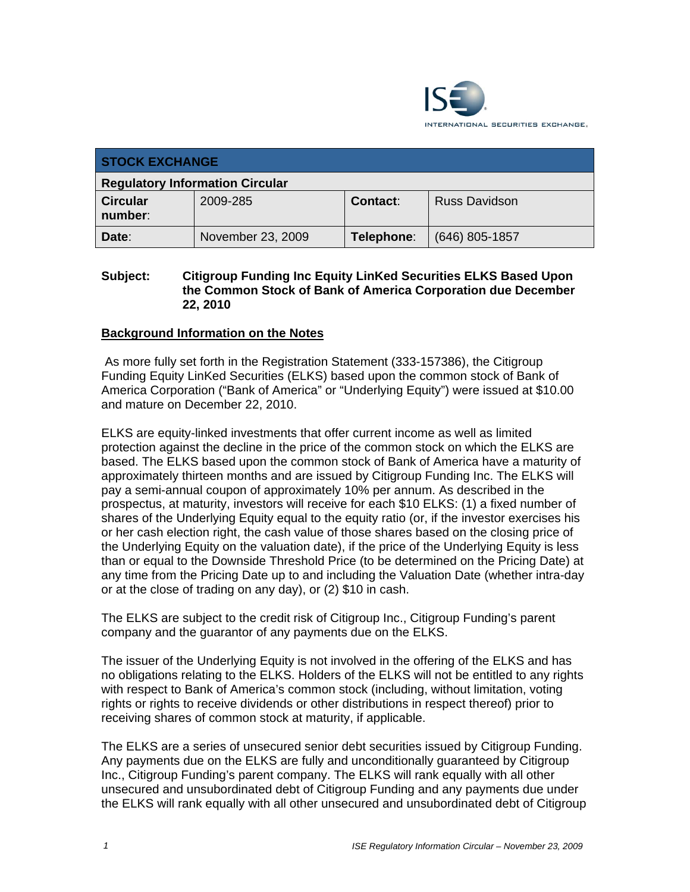

| <b>STOCK EXCHANGE</b>                  |                   |            |                      |  |
|----------------------------------------|-------------------|------------|----------------------|--|
| <b>Regulatory Information Circular</b> |                   |            |                      |  |
| <b>Circular</b><br>number:             | 2009-285          | Contact:   | <b>Russ Davidson</b> |  |
| Date:                                  | November 23, 2009 | Telephone: | $(646)$ 805-1857     |  |

#### **Subject: Citigroup Funding Inc Equity LinKed Securities ELKS Based Upon the Common Stock of Bank of America Corporation due December 22, 2010**

## **Background Information on the Notes**

 As more fully set forth in the Registration Statement (333-157386), the Citigroup Funding Equity LinKed Securities (ELKS) based upon the common stock of Bank of America Corporation ("Bank of America" or "Underlying Equity") were issued at \$10.00 and mature on December 22, 2010.

ELKS are equity-linked investments that offer current income as well as limited protection against the decline in the price of the common stock on which the ELKS are based. The ELKS based upon the common stock of Bank of America have a maturity of approximately thirteen months and are issued by Citigroup Funding Inc. The ELKS will pay a semi-annual coupon of approximately 10% per annum. As described in the prospectus, at maturity, investors will receive for each \$10 ELKS: (1) a fixed number of shares of the Underlying Equity equal to the equity ratio (or, if the investor exercises his or her cash election right, the cash value of those shares based on the closing price of the Underlying Equity on the valuation date), if the price of the Underlying Equity is less than or equal to the Downside Threshold Price (to be determined on the Pricing Date) at any time from the Pricing Date up to and including the Valuation Date (whether intra-day or at the close of trading on any day), or (2) \$10 in cash.

The ELKS are subject to the credit risk of Citigroup Inc., Citigroup Funding's parent company and the guarantor of any payments due on the ELKS.

The issuer of the Underlying Equity is not involved in the offering of the ELKS and has no obligations relating to the ELKS. Holders of the ELKS will not be entitled to any rights with respect to Bank of America's common stock (including, without limitation, voting rights or rights to receive dividends or other distributions in respect thereof) prior to receiving shares of common stock at maturity, if applicable.

The ELKS are a series of unsecured senior debt securities issued by Citigroup Funding. Any payments due on the ELKS are fully and unconditionally guaranteed by Citigroup Inc., Citigroup Funding's parent company. The ELKS will rank equally with all other unsecured and unsubordinated debt of Citigroup Funding and any payments due under the ELKS will rank equally with all other unsecured and unsubordinated debt of Citigroup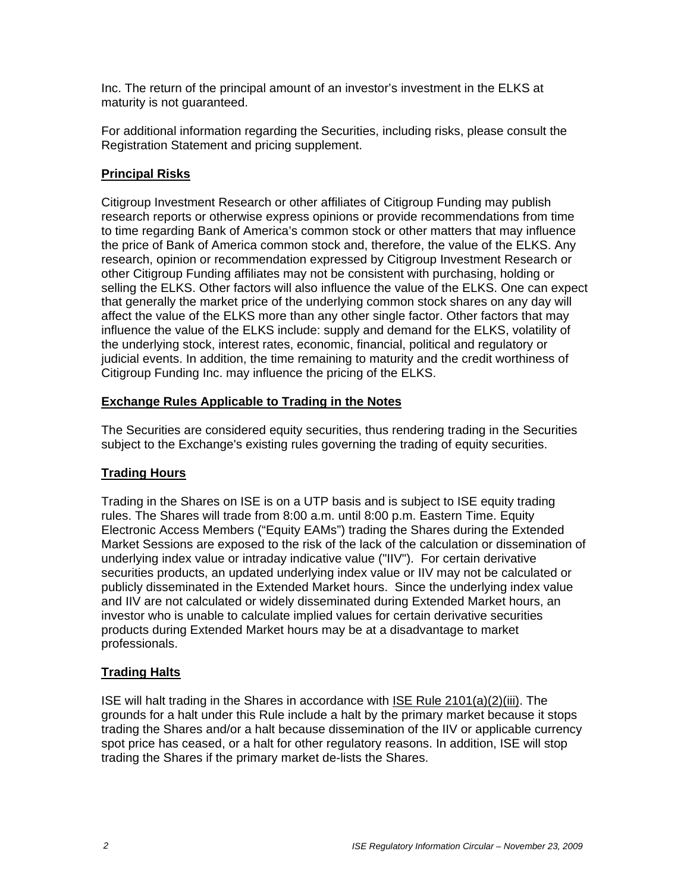Inc. The return of the principal amount of an investor's investment in the ELKS at maturity is not guaranteed.

For additional information regarding the Securities, including risks, please consult the Registration Statement and pricing supplement.

## **Principal Risks**

Citigroup Investment Research or other affiliates of Citigroup Funding may publish research reports or otherwise express opinions or provide recommendations from time to time regarding Bank of America's common stock or other matters that may influence the price of Bank of America common stock and, therefore, the value of the ELKS. Any research, opinion or recommendation expressed by Citigroup Investment Research or other Citigroup Funding affiliates may not be consistent with purchasing, holding or selling the ELKS. Other factors will also influence the value of the ELKS. One can expect that generally the market price of the underlying common stock shares on any day will affect the value of the ELKS more than any other single factor. Other factors that may influence the value of the ELKS include: supply and demand for the ELKS, volatility of the underlying stock, interest rates, economic, financial, political and regulatory or judicial events. In addition, the time remaining to maturity and the credit worthiness of Citigroup Funding Inc. may influence the pricing of the ELKS.

## **Exchange Rules Applicable to Trading in the Notes**

The Securities are considered equity securities, thus rendering trading in the Securities subject to the Exchange's existing rules governing the trading of equity securities.

## **Trading Hours**

Trading in the Shares on ISE is on a UTP basis and is subject to ISE equity trading rules. The Shares will trade from 8:00 a.m. until 8:00 p.m. Eastern Time. Equity Electronic Access Members ("Equity EAMs") trading the Shares during the Extended Market Sessions are exposed to the risk of the lack of the calculation or dissemination of underlying index value or intraday indicative value ("IIV"). For certain derivative securities products, an updated underlying index value or IIV may not be calculated or publicly disseminated in the Extended Market hours. Since the underlying index value and IIV are not calculated or widely disseminated during Extended Market hours, an investor who is unable to calculate implied values for certain derivative securities products during Extended Market hours may be at a disadvantage to market professionals.

## **Trading Halts**

ISE will halt trading in the Shares in accordance with ISE Rule 2101(a)(2)(iii). The grounds for a halt under this Rule include a halt by the primary market because it stops trading the Shares and/or a halt because dissemination of the IIV or applicable currency spot price has ceased, or a halt for other regulatory reasons. In addition, ISE will stop trading the Shares if the primary market de-lists the Shares.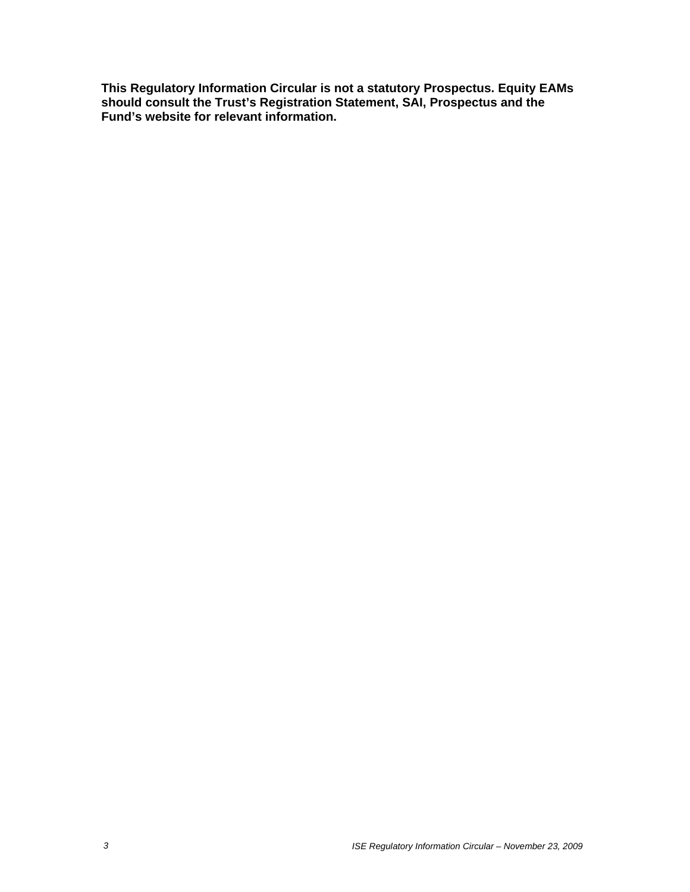**This Regulatory Information Circular is not a statutory Prospectus. Equity EAMs should consult the Trust's Registration Statement, SAI, Prospectus and the Fund's website for relevant information.**